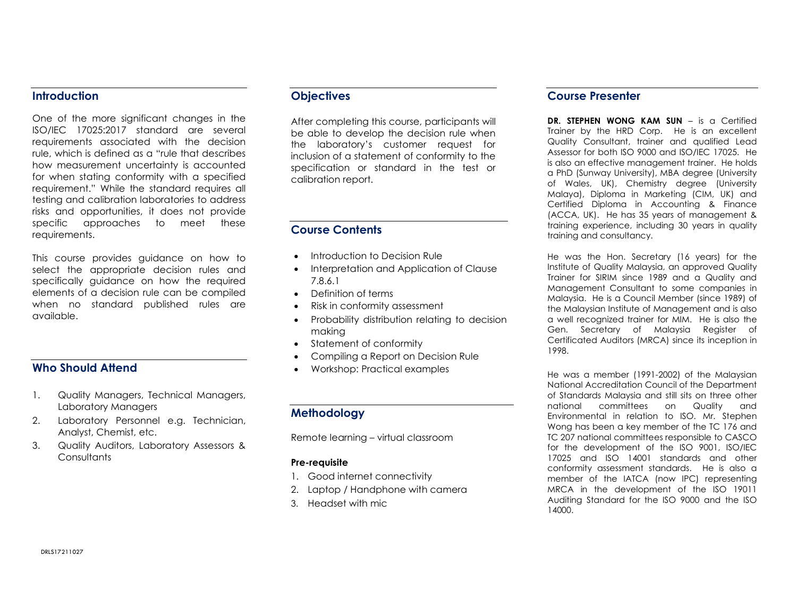#### **Introduction**

One of the more significant changes in the ISO/IEC 17025:2017 standard are several requirements associated with the decision rule, which is defined as a "rule that describes how measurement uncertainty is accounted for when stating conformity with a specified requirement." While the standard requires all testing and calibration laboratories to address risks and opportunities, it does not provide specific approaches to meet these requirements.

This course provides guidance on how to select the appropriate decision rules and specifically guidance on how the required elements of a decision rule can be compiled when no standard published rules are available.

## Who Should Attend

- 1. Quality Managers, Technical Managers, Laboratory Managers
- 2. Laboratory Personnel e.g. Technician, Analyst, Chemist, etc.
- 3. Quality Auditors, Laboratory Assessors & **Consultants**

# **Objectives**

After completing this course, participants will be able to develop the decision rule when the laboratory's customer request for inclusion of a statement of conformity to the specification or standard in the test or calibration report.

# Course Contents

- Introduction to Decision Rule
- Interpretation and Application of Clause 7.8.6.1
- Definition of terms
- Risk in conformity assessment
- Probability distribution relating to decision making
- Statement of conformity
- Compiling a Report on Decision Rule
- Workshop: Practical examples

## Methodology

Remote learning – virtual classroom

#### Pre-requisite

- 1. Good internet connectivity
- 2. Laptop / Handphone with camera
- 3. Headset with mic

### Course Presenter

DR. STEPHEN WONG KAM SUN – is a Certified Trainer by the HRD Corp. He is an excellent Quality Consultant, trainer and qualified Lead Assessor for both ISO 9000 and ISO/IEC 17025. He is also an effective management trainer. He holds a PhD (Sunway University), MBA degree (University of Wales, UK), Chemistry degree (University Malaya), Diploma in Marketing (CIM, UK) and Certified Diploma in Accounting & Finance (ACCA, UK). He has 35 years of management & training experience, including 30 years in quality training and consultancy.

He was the Hon. Secretary (16 years) for the Institute of Quality Malaysia, an approved Quality Trainer for SIRIM since 1989 and a Quality and Management Consultant to some companies in Malaysia. He is a Council Member (since 1989) of the Malaysian Institute of Management and is also a well recognized trainer for MIM. He is also the Gen. Secretary of Malaysia Register of Certificated Auditors (MRCA) since its inception in 1998.

He was a member (1991-2002) of the Malaysian National Accreditation Council of the Department of Standards Malaysia and still sits on three other national committees on Quality and Environmental in relation to ISO. Mr. Stephen Wong has been a key member of the TC 176 and TC 207 national committees responsible to CASCO for the development of the ISO 9001, ISO/IEC 17025 and ISO 14001 standards and other conformity assessment standards. He is also a member of the IATCA (now IPC) representing MRCA in the development of the ISO 19011 Auditing Standard for the ISO 9000 and the ISO 14000.